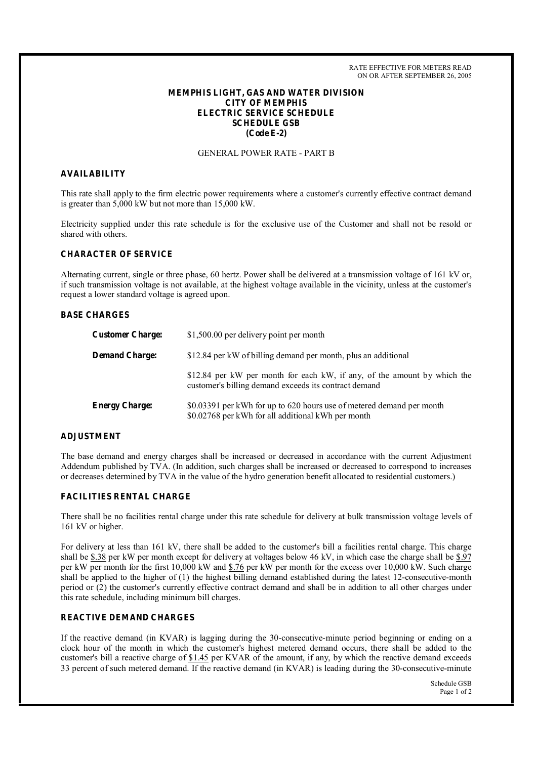RATE EFFECTIVE FOR METERS READ ON OR AFTER SEPTEMBER 26, 2005

## **MEMPHIS LIGHT, GAS AND WATER DIVISION CITY OF MEMPHIS ELECTRIC SERVICE SCHEDULE SCHEDULE GSB (Code E-2)**

# GENERAL POWER RATE - PART B

#### **AVAILABILITY**

This rate shall apply to the firm electric power requirements where a customer's currently effective contract demand is greater than 5,000 kW but not more than 15,000 kW.

Electricity supplied under this rate schedule is for the exclusive use of the Customer and shall not be resold or shared with others.

# **CHARACTER OF SERVICE**

Alternating current, single or three phase, 60 hertz. Power shall be delivered at a transmission voltage of 161 kV or, if such transmission voltage is not available, at the highest voltage available in the vicinity, unless at the customer's request a lower standard voltage is agreed upon.

## **BASE CHARGES**

| <b>Customer Charge:</b> | \$1,500.00 per delivery point per month                                                                                           |
|-------------------------|-----------------------------------------------------------------------------------------------------------------------------------|
| <b>Demand Charge:</b>   | \$12.84 per kW of billing demand per month, plus an additional                                                                    |
|                         | \$12.84 per kW per month for each kW, if any, of the amount by which the<br>customer's billing demand exceeds its contract demand |
| <b>Energy Charge:</b>   | \$0.03391 per kWh for up to 620 hours use of metered demand per month<br>\$0.02768 per kWh for all additional kWh per month       |

#### **ADJUSTMENT**

The base demand and energy charges shall be increased or decreased in accordance with the current Adjustment Addendum published by TVA. (In addition, such charges shall be increased or decreased to correspond to increases or decreases determined by TVA in the value of the hydro generation benefit allocated to residential customers.)

#### **FACILITIES RENTAL CHARGE**

There shall be no facilities rental charge under this rate schedule for delivery at bulk transmission voltage levels of 161 kV or higher.

For delivery at less than 161 kV, there shall be added to the customer's bill a facilities rental charge. This charge shall be  $$.38$  per kW per month except for delivery at voltages below 46 kV, in which case the charge shall be  $$.97$ per kW per month for the first 10,000 kW and \$.76 per kW per month for the excess over 10,000 kW. Such charge shall be applied to the higher of (1) the highest billing demand established during the latest 12-consecutive-month period or (2) the customer's currently effective contract demand and shall be in addition to all other charges under this rate schedule, including minimum bill charges.

# **REACTIVE DEMAND CHARGES**

If the reactive demand (in KVAR) is lagging during the 30-consecutive-minute period beginning or ending on a clock hour of the month in which the customer's highest metered demand occurs, there shall be added to the customer's bill a reactive charge of \$1.45 per KVAR of the amount, if any, by which the reactive demand exceeds 33 percent of such metered demand. If the reactive demand (in KVAR) is leading during the 30-consecutive-minute